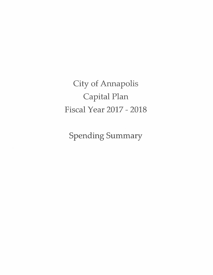**City of Annapolis** Capital Plan **Fiscal Year 2017 - 2018** 

Spending Summary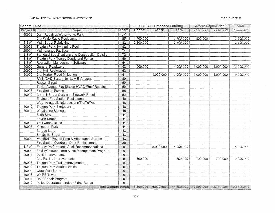## CAPITAL IMPROVEMENT PROGRAM - PROPOSED

 $\sim 10^{11}$ 

## FY2017 - FY2022

 $\mathbb{R}^+$ 

 $\sim$ 

| <b>General Fund</b>      |                                                  |                 |                          | <b>FY17-FY18 Proposed Funding</b> |                          | 4-Year Capital Plan      | Total                    |                          |
|--------------------------|--------------------------------------------------|-----------------|--------------------------|-----------------------------------|--------------------------|--------------------------|--------------------------|--------------------------|
| Project #                | Project                                          | Score           | Bonds <sup>2</sup>       | Other                             | Total                    | FY19-FY20                | FY21-FY22                | Proposed                 |
| 40002                    | Dam Repair at Waterworks Park                    | <b>LM</b>       | $\blacksquare$           |                                   |                          |                          |                          |                          |
|                          | City-Wide Radio Replacement                      | $\overline{85}$ | 1,700,000                | $\overline{\phantom{a}}$          | 1,700,000                | 800,000                  |                          | 2,500,000                |
| <b>NEW</b>               | Main Street Rebricking                           | $\overline{82}$ | 2,100,000                | $\blacksquare$                    | 2,100,000                | $\overline{\phantom{a}}$ | $\omega$                 | 2,100,000                |
| 50008                    | <b>Truxtun Park Swimming Pool</b>                | 82              |                          | $\overline{\phantom{0}}$          |                          | $\blacksquare$           | $\overline{\phantom{a}}$ |                          |
| 20004                    | Maintenance Facilities                           | $\overline{74}$ | $\overline{\phantom{a}}$ | $\overline{\phantom{a}}$          |                          |                          |                          |                          |
| <b>NEW</b>               | Standard Specifications and Construction Details | $\overline{72}$ | $\overline{\phantom{a}}$ | $\overline{\phantom{a}}$          | $\overline{\phantom{a}}$ | $\overline{\phantom{a}}$ | $\overline{\phantom{a}}$ | $\tilde{\phantom{a}}$    |
| <b>NEW</b>               | <b>Truxtun Park Tennis Courts and Fence</b>      | $\overline{66}$ | $\overline{\phantom{a}}$ | $\overline{\phantom{a}}$          | $\overline{\phantom{0}}$ | $\sim$                   | u.                       | $\blacksquare$           |
| <b>NEW</b>               | Recreation Management Software                   | 64              | $\overline{a}$           | $\overline{a}$                    | $\overline{a}$           |                          |                          |                          |
| 40006                    | General Roadways                                 | $\overline{62}$ | 4,000,000                | $\blacksquare$                    | 4,000,000                | 4,000,000                | 4,000,000                | 12,000,000               |
| 20005                    | City Hall Restoration                            | 62              |                          |                                   |                          |                          |                          |                          |
| 50005                    | City Harbor Flood Mitigation                     | 61              | $\blacksquare$           | 1,000,000                         | 1,000,000                | 4,000,000                | 4,000,000                | 9,000,000                |
|                          | RMS /CAD System for Law Enforcement              | $\overline{60}$ | $\overline{\phantom{a}}$ |                                   |                          |                          |                          |                          |
|                          | <b>Russell Street</b>                            | $\overline{60}$ | $\blacksquare$           | $\blacksquare$                    |                          | $\overline{\phantom{a}}$ |                          |                          |
| $\blacksquare$           | Taylor Avenue Fire Station HVAC / Roof Repairs   | $\overline{59}$ | $\overline{\phantom{a}}$ | $\sim$                            | $\overline{\phantom{a}}$ | $\sim$                   | $\overline{\phantom{0}}$ | $\tilde{\phantom{a}}$    |
| 40008                    | Fire Station Paving                              | $\overline{55}$ | $\omega$                 | $\blacksquare$                    | $\overline{\phantom{a}}$ | $\blacksquare$           | $\overline{\phantom{a}}$ | $\blacksquare$           |
| 40009                    | Cornhill Street Curb and Sidewalk Repair         | $\overline{52}$ | $\blacksquare$           | $\blacksquare$                    | $\overline{\phantom{a}}$ |                          | $\overline{\phantom{a}}$ | $\overline{\phantom{a}}$ |
| $\overline{\phantom{a}}$ | <b>Eastport Fire Station Replacement</b>         | 49              | $\blacksquare$           | $\blacksquare$                    | $\blacksquare$           | $\blacksquare$           | $\overline{\phantom{a}}$ | $\tilde{\phantom{a}}$    |
|                          | West Annapolis Intersections/Traffic/Ped         | $\overline{48}$ | $\overline{\phantom{a}}$ | $\blacksquare$                    | $\overline{\phantom{a}}$ | $\omega$                 | $\overline{\phantom{a}}$ | $\tilde{\phantom{a}}$    |
| 50012                    | <b>Truxtun Park Skatepark</b>                    | $\overline{46}$ | $\omega$                 | $\tilde{\phantom{a}}$             | $\blacksquare$           | $\sim$                   |                          | $\overline{\phantom{a}}$ |
| 50011                    | Wayfinding Signage                               | $\overline{45}$ | $\sim$                   | $\blacksquare$                    | $ \,$                    | $\overline{\phantom{a}}$ | $\overline{\phantom{a}}$ | $\overline{\phantom{a}}$ |
| $\overline{\phantom{a}}$ | Sixth Street                                     | 44              | $\blacksquare$           | $\blacksquare$                    | $\blacksquare$           | $\blacksquare$           | $\sim$                   | $\overline{\phantom{a}}$ |
| $\overline{\phantom{a}}$ | Fourth Street                                    | $\overline{44}$ | $\blacksquare$           | $\overline{\phantom{a}}$          | $\sim$                   |                          |                          | $\sim$                   |
| 50010                    | <b>Trail Connections</b>                         | $\overline{44}$ | $\omega$                 | $\tilde{\phantom{a}}$             | $\blacksquare$           | $\sim$                   | $\tilde{\phantom{a}}$    | $\sim$                   |
| 50007                    | Kingsport Park                                   | $\overline{44}$ | $\overline{\phantom{a}}$ | $\blacksquare$                    | $\overline{\phantom{a}}$ |                          |                          | $\sim$                   |
| $\rightarrow$            | <b>Barbud Lane</b>                               | $\overline{43}$ | $\overline{\phantom{a}}$ | $\blacksquare$                    | $\omega$                 | $\overline{\phantom{a}}$ | $\blacksquare$           | $\equiv$                 |
| $\blacksquare$           | Smithville Street                                | $\overline{43}$ | $\sim$                   | $\overline{\phantom{a}}$          | $\blacksquare$           | $\blacksquare$           | $\tilde{\phantom{a}}$    | $\overline{\phantom{a}}$ |
| 50001                    | MUNIS/IT Payroll Time & Attendance System        | $\overline{43}$ | $\overline{\phantom{a}}$ | $\overline{\phantom{a}}$          | $\overline{\phantom{a}}$ |                          |                          | $\tilde{\phantom{a}}$    |
| $\sim$                   | Fire Station Overhead Door Replacement           | $\overline{39}$ | $\blacksquare$           | $\blacksquare$                    | $\sim$                   | $\sim$                   | $\sim$                   | $\sim$                   |
| <b>NEW</b>               | Energy Performance Audit Recommendations         | $\overline{0}$  | $\blacksquare$           | 5,000,000                         | 5,000,000                | $\overline{\phantom{a}}$ | $\overline{a}$           | 5,000,000                |
| 50004                    | Facility/Infrastructure Asset Management Program | $\overline{0}$  | $\omega$                 | $\omega$                          | $\overline{\phantom{a}}$ | ÷.                       | $\blacksquare$           |                          |
| 20011                    | 2015 Improvements                                | $\overline{0}$  | $\blacksquare$           | $ \,$                             | $\omega$                 | $\sim$                   | $\overline{a}$           |                          |
|                          | <b>City Facility Improvements</b>                | $\Omega$        | 800,000                  | $\blacksquare$                    | 800,000                  | 700,000                  | 700,000                  | 2,200,000                |
| 50006                    | <b>Truxtun Park Trail Improvements</b>           | $\Omega$        | $\overline{\phantom{a}}$ | $\blacksquare$                    | $\sim$                   | $\blacksquare$           | $\sim$                   | $\tilde{\phantom{a}}$    |
| 50009                    | <b>Truxtun Park Softball Fields</b>              | $\overline{0}$  | $\blacksquare$           | $\overline{\phantom{a}}$          | $\blacksquare$           |                          |                          |                          |
| 40004                    | Greenfield Street                                | $\overline{0}$  | $\blacksquare$           | $\sim$                            | $\overline{\phantom{a}}$ | $\sim$                   |                          |                          |
| 40003                    | <b>WYRE Tower</b>                                | $\Omega$        | $\overline{a}$           | $\blacksquare$                    | $\sim$                   | $\overline{\phantom{a}}$ | $\overline{\phantom{a}}$ | $\sim$                   |
| 20001                    | Roof Repair Program                              | 0               | $\blacksquare$           | $\overline{\phantom{a}}$          | $\overline{\phantom{a}}$ | $\overline{\phantom{a}}$ | $\overline{\phantom{a}}$ |                          |
| 20012                    | Police Department Indoor Firing Range            | $\Omega$        | $\overline{a}$           | $\blacksquare$                    | $\blacksquare$           |                          | $\mathbf{r}$             |                          |
|                          | <b>Total General Fund:</b>                       |                 | 8,600,000                | 6,000,000                         | 14,600,000               | 9,500,000                | 8,700,000                | 32,800,000               |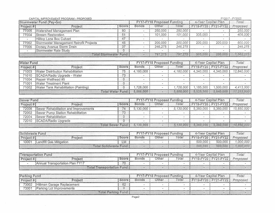|                  | CAPITAL IMPROVEMENT PROGRAM - PROPOSED  |       |                                   |         |         | FY2017 - FY2022     |                     |             |  |
|------------------|-----------------------------------------|-------|-----------------------------------|---------|---------|---------------------|---------------------|-------------|--|
|                  | Stormwater Fund (Pay-Go)                |       | <b>FY17-FY18 Proposed Funding</b> |         |         | 4-Year Capital Plan |                     | Total       |  |
| <b>Project #</b> | Project                                 | Score | Bonds                             | Other   | Total   |                     | FY19-FY20 FY21-FY22 | Proposed    |  |
| 77005            | Watershed Management Plan               | 80    |                                   | 250,000 | 250,000 |                     |                     | 250,000     |  |
| 77004            | Stream Restoration                      | 51    |                                   | 101.000 | 101.000 | 305,000             |                     | 406,000     |  |
|                  | Hilltop Lane Box Culvert                | 47    |                                   |         |         |                     |                     |             |  |
| 77002            | Stormwater Management Retrofit Projects | 45    |                                   | 200.000 | 200.000 | 200,000             | 200,000             | 600,000     |  |
| 77006            | Dorsey Avenue Storm Drain               | 37    |                                   | 246,275 | 246,275 |                     |                     | 246,275     |  |
|                  | Stormwater Rate Study                   |       |                                   |         |         |                     |                     |             |  |
|                  | <b>Total Stormwater Funch</b>           |       | $\sim$                            | 797,275 | 797.275 | 505,000             | 200,000             | 1,1502,2745 |  |

|                  | <b>Water Fund</b>                    |                          |           | <b>FY17-FY18 Proposed Funding</b> |           |           | 4-Year Capital Plan |            |
|------------------|--------------------------------------|--------------------------|-----------|-----------------------------------|-----------|-----------|---------------------|------------|
| <b>Project #</b> | Project                              | Score                    | Bonds     | Other                             | Total     |           | FY19-FY20 FY21-FY22 | Proposed   |
| 71003            | Water Distribution Rehabilitation    | 75                       | 4,160,000 |                                   | 4.160.000 | 4.340.000 | 4,340,000           | 12,840,000 |
| 71010            | SCADA/Radio Upgrade - Water          | 73                       |           | -                                 |           |           |                     |            |
| 71004            | Repair Wellhead #5                   |                          | $\sim$    | $\overline{\phantom{0}}$          |           |           |                     |            |
| 71001            | Water Treatment Plant                |                          |           |                                   |           |           |                     |            |
| 71002            | Water Tank Rehabilitation (Painting) | 0                        | 1,728,000 |                                   | 1.728.000 | 1,185,500 | 1,500,000           | 4,413,500  |
|                  |                                      | <b>Total Water Fund:</b> | 5.888,000 | $\mathbf{R}$                      | 5.888.000 | 5,525,500 | 5,840,000           | 17,253,500 |

| Sewer Fund |                                       |                          | <b>FY17-FY18 Proposed Funding</b> |       |           | 4-Year Capital Plan |                            | Total      |
|------------|---------------------------------------|--------------------------|-----------------------------------|-------|-----------|---------------------|----------------------------|------------|
| Project #  | Project                               | Score                    | Bonds                             | Other | Total     |                     | <b>FY19-FY20 FY21-FY22</b> | Proposed   |
| 72006      | Sewer Rehabilitation and Improvements | 74                       | 5.130.000                         |       | 5.130,000 | 5,360,000           | 5,360,000                  | 15,850,000 |
| 72002      | Sewer Pump Station Rehabilitation     | 73                       |                                   |       |           |                     |                            |            |
| 72004      | <b>Sewer Rehabilitation</b>           |                          |                                   |       |           |                     |                            |            |
| 72010      | SCADA/Radio Upgrade                   |                          |                                   |       |           |                     |                            |            |
|            |                                       | <b>Total Sewer Fund:</b> | 5.130.000                         |       | 5.130.000 |                     | $5,360,000$   $5,360,000$  | 15,850,000 |

| <b>ISolidwaste Fund</b> |                         |         | <b>FY17-FY18 Proposed Funding</b> |       |       | 4-Year Capital Plan |                                      | Total     |
|-------------------------|-------------------------|---------|-----------------------------------|-------|-------|---------------------|--------------------------------------|-----------|
| Project #               | Project                 | Score l | Bonds                             | Other | Total |                     | <b>IFY19-FY20 FY21-FY22 Proposed</b> |           |
| 10001                   | Landfill Gas Mitigation |         |                                   |       |       | 500.000             | 500.000                              | 1.000.000 |
|                         | Total Solidwaste Fund:  |         |                                   |       |       | 500 000             | 500,000                              |           |

|            | <b>Transportation Fund</b>                   |                                    |  | FY17-FY18 Proposed Funding |       |                         | 4-Year Capital Plan |          |
|------------|----------------------------------------------|------------------------------------|--|----------------------------|-------|-------------------------|---------------------|----------|
| Project #, | Project                                      |                                    |  | Other                      | Fotal | 1 FY19-FY20 FY21-FY22 1 |                     | Proposed |
|            | <sup>1</sup> Annual Transportation Plan FY17 | $-1$                               |  |                            |       |                         |                     |          |
|            |                                              | <b>Total Transportation Fund:I</b> |  |                            |       |                         |                     |          |

|                     | <b>'Parking Fund</b>       |                            |       | <b>FY17-FY18 Proposed Funding</b> |       |  | 4-Year Capital Plan              |  |  |
|---------------------|----------------------------|----------------------------|-------|-----------------------------------|-------|--|----------------------------------|--|--|
| $^\circ$ roiect # . | Project                    | Scorel                     | Bonds | Other                             | Total |  | FY19-FY20   FY21-FY22   Proposed |  |  |
| 73002               | Hillman Garage Replacement | 62                         |       |                                   |       |  |                                  |  |  |
| 73001               | Parking Lot Improvements   |                            |       |                                   |       |  |                                  |  |  |
|                     |                            | <b>Total Parking Fund:</b> |       |                                   |       |  |                                  |  |  |